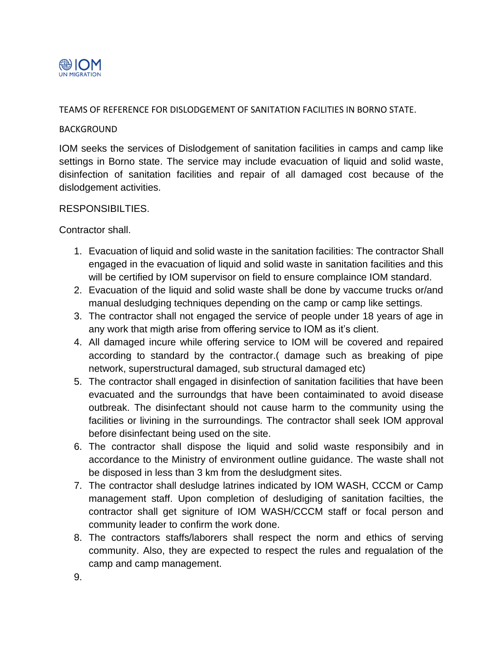

### TEAMS OF REFERENCE FOR DISLODGEMENT OF SANITATION FACILITIES IN BORNO STATE.

#### BACKGROUND

IOM seeks the services of Dislodgement of sanitation facilities in camps and camp like settings in Borno state. The service may include evacuation of liquid and solid waste, disinfection of sanitation facilities and repair of all damaged cost because of the dislodgement activities.

#### RESPONSIBILTIES.

Contractor shall.

- 1. Evacuation of liquid and solid waste in the sanitation facilities: The contractor Shall engaged in the evacuation of liquid and solid waste in sanitation facilities and this will be certified by IOM supervisor on field to ensure complaince IOM standard.
- 2. Evacuation of the liquid and solid waste shall be done by vaccume trucks or/and manual desludging techniques depending on the camp or camp like settings.
- 3. The contractor shall not engaged the service of people under 18 years of age in any work that migth arise from offering service to IOM as it's client.
- 4. All damaged incure while offering service to IOM will be covered and repaired according to standard by the contractor.( damage such as breaking of pipe network, superstructural damaged, sub structural damaged etc)
- 5. The contractor shall engaged in disinfection of sanitation facilities that have been evacuated and the surroundgs that have been contaiminated to avoid disease outbreak. The disinfectant should not cause harm to the community using the facilities or livining in the surroundings. The contractor shall seek IOM approval before disinfectant being used on the site.
- 6. The contractor shall dispose the liquid and solid waste responsibily and in accordance to the Ministry of environment outline guidance. The waste shall not be disposed in less than 3 km from the desludgment sites.
- 7. The contractor shall desludge latrines indicated by IOM WASH, CCCM or Camp management staff. Upon completion of desludiging of sanitation facilties, the contractor shall get signiture of IOM WASH/CCCM staff or focal person and community leader to confirm the work done.
- 8. The contractors staffs/laborers shall respect the norm and ethics of serving community. Also, they are expected to respect the rules and regualation of the camp and camp management.